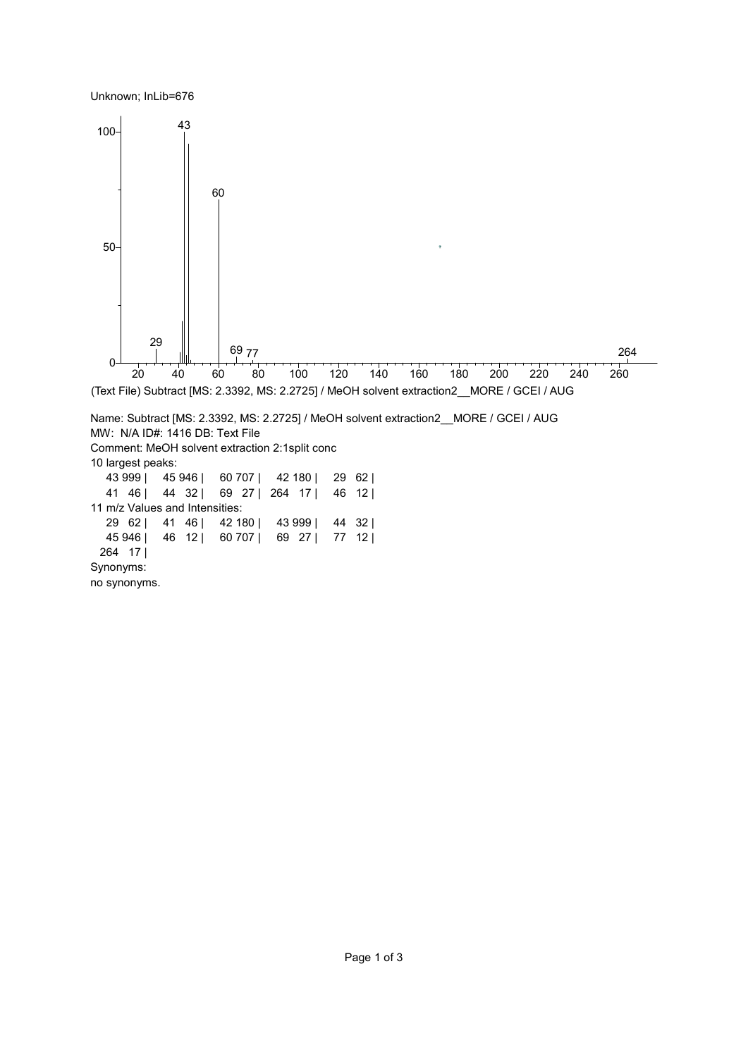Unknown; InLib=676



no synonyms.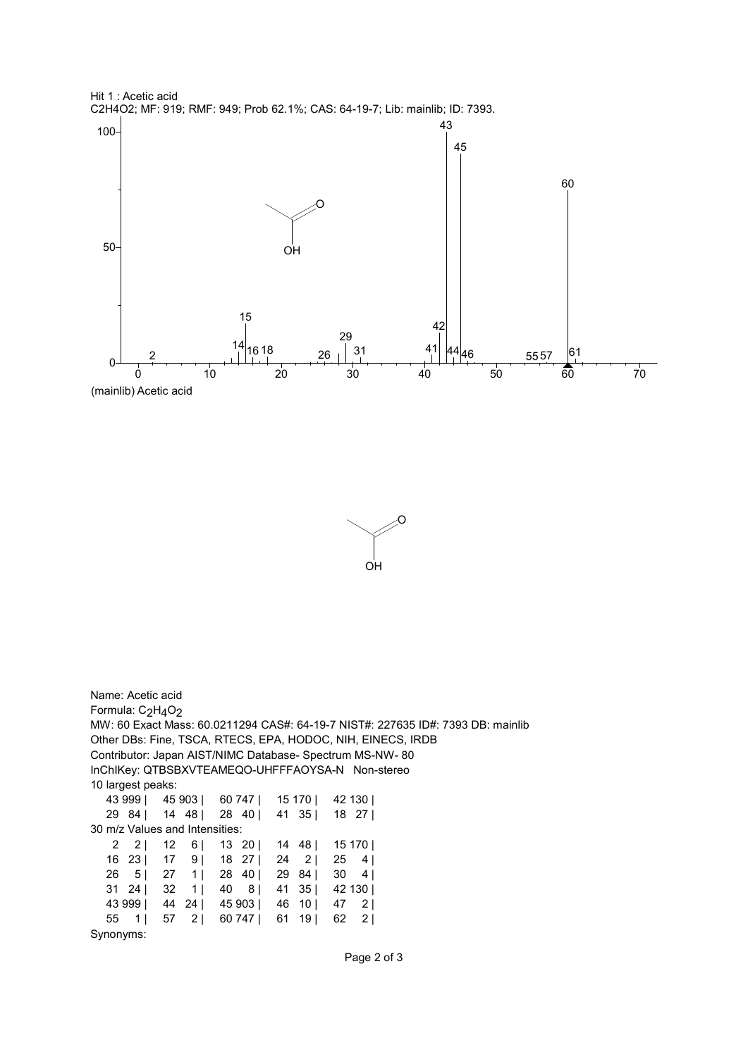



Name: Acetic acid Formula: C<sub>2</sub>H<sub>4</sub>O<sub>2</sub> MW: 60 Exact Mass: 60.0211294 CAS#: 64-19-7 NIST#: 227635 ID#: 7393 DB: mainlib Other DBs: Fine, TSCA, RTECS, EPA, HODOC, NIH, EINECS, IRDB Contributor: Japan AIST/NIMC Database- Spectrum MS-NW- 80 InChIKey: QTBSBXVTEAMEQO-UHFFFAOYSA-N Non-stereo 10 largest peaks: 43 999 | 45 903 | 60 747 | 15 170 | 42 130 | 29 84 | 14 48 | 28 40 | 41 35 | 18 27 | 30 m/z Values and Intensities: 2 2 | 12 6 | 13 20 | 14 48 | 15 170 | 16 23 | 17 9 | 18 27 | 24 2 | 25 4 | 26 5 | 27 1 | 28 40 | 29 84 | 30 4 | 31 24 | 32 1 | 40 8 | 41 35 | 42 130 | 43 999 | 44 24 | 45 903 | 46 10 | 47 2 | 55 1 | 57 2 | 60 747 | 61 19 | 62 2 | Synonyms: